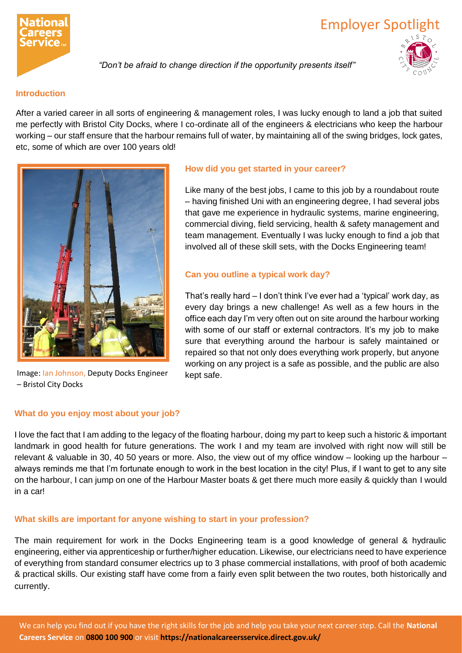

# Employer Spotlight

*"Don't be afraid to change direction if the opportunity presents itself"*

# **Introduction**

After a varied career in all sorts of engineering & management roles, I was lucky enough to land a job that suited me perfectly with Bristol City Docks, where I co-ordinate all of the engineers & electricians who keep the harbour working – our staff ensure that the harbour remains full of water, by maintaining all of the swing bridges, lock gates, etc, some of which are over 100 years old!



Image: Ian Johnson, Deputy Docks Engineer – Bristol City Docks

# **How did you get started in your career?**

Like many of the best jobs, I came to this job by a roundabout route – having finished Uni with an engineering degree, I had several jobs that gave me experience in hydraulic systems, marine engineering, commercial diving, field servicing, health & safety management and team management. Eventually I was lucky enough to find a job that involved all of these skill sets, with the Docks Engineering team!

# **Can you outline a typical work day?**

That's really hard – I don't think I've ever had a 'typical' work day, as every day brings a new challenge! As well as a few hours in the office each day I'm very often out on site around the harbour working with some of our staff or external contractors. It's my job to make sure that everything around the harbour is safely maintained or repaired so that not only does everything work properly, but anyone working on any project is a safe as possible, and the public are also kept safe.

## **What do you enjoy most about your job?**

I love the fact that I am adding to the legacy of the floating harbour, doing my part to keep such a historic & important landmark in good health for future generations. The work I and my team are involved with right now will still be relevant & valuable in 30, 40 50 years or more. Also, the view out of my office window – looking up the harbour – always reminds me that I'm fortunate enough to work in the best location in the city! Plus, if I want to get to any site on the harbour, I can jump on one of the Harbour Master boats & get there much more easily & quickly than I would in a car!

## **What skills are important for anyone wishing to start in your profession?**

The main requirement for work in the Docks Engineering team is a good knowledge of general & hydraulic engineering, either via apprenticeship or further/higher education. Likewise, our electricians need to have experience of everything from standard consumer electrics up to 3 phase commercial installations, with proof of both academic & practical skills. Our existing staff have come from a fairly even split between the two routes, both historically and currently.